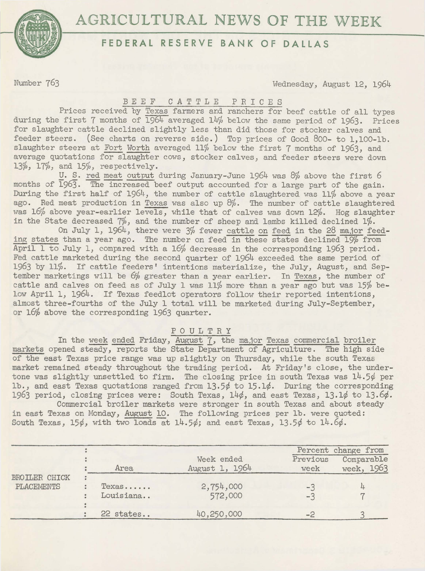



## **FEDERAL RESERVE BANK OF DALLAS**

Number 763 Wednesday, August 12, 1964

## *BEEF* CATTLE P R I C E S

Prices received by Texas farmers and ranchers for beef cattle of all types during the first 7 months of 1954 averaged 14% below the same period of 1963. Prices for slaughter cattle declined slightly less than did those for stocker calves and feeder steers. (See charts on reverse side.) Top prices of Good 800- to 1,100-lb. slaughter steers at Fort Worth averaged 11% below the first 7 months of 1963, and average quotations for slaughter cows, stocker calves, and feeder steers were down 13%, 17%, and 15%, respectively.

U. S. red meat output during January-June 1964 was 8% above the first *6*  months of  $\overline{1963}$ . The increased beef output accounted for a large part of the gain. During the first half of 1964, the number of cattle slaughtered was 11% above a year ago. Red meat production in Texas was also up 8%. The number of cattle slaughtered was 16% above year-earlier levels, while that of calves was down 12%. Hog slaughter in the State decreased  $7\%$ , and the number of sheep and lambs killed declined  $1\%$ .

On July 1, 1964, there were 3% fewer cattle on feed in the 28 ma,ior feeding states than a year ago. The number on feed in these states declined 19% from April 1 to July 1, compared with a 16% decrease in the corresponding 1963 period. Fed cattle marketed during the second. quarter of 1964 exceeded the same period of 1963 by 11%. If cattle feeders' intentions materialize, the July, August, and September marketings will be *6%* greater than a year earlier. In Texas, the number of cattle and calves on feed as of July 1 was 11% more than a year ago but was 15% below April 1, 1964. If Texas feedlot operators follow their reported intentions, almost three-fourths of the July 1 total will be marketed during July-September, or 16% above the corresponding 1963 quarter.

## POULTRY

In the week ended Friday, August 7, the major Texas commercial broiler markets opened steady, reports the State Department of Agriculture. The high side of the east Texas price range was up slightly on Thursday, while the south Texas market remained steady throughout the trading period. At Friday's close, the undertone was slightly unsettled to firm. The closing price in south Texas was 14.5¢ per lb., and east Texas quotations ranged from 13.5¢ to 15.1¢. During the corresponding 1963 period, closing prices were: South Texas, 14¢, and east Texas, 13.1¢ to 13.6¢.

Commercial broiler markets were stronger in south Texas and about steady in east Texas on Monday, August 10. The following prices per lb. were quoted: South Texas, 15 $\phi$ , with two loads at 14.5 $\phi$ ; and east Texas, 13.5 $\phi$  to 14.6 $\phi$ .

|                                    |                             |                              |                  | Percent change from      |
|------------------------------------|-----------------------------|------------------------------|------------------|--------------------------|
| BROILER CHICK<br><b>PLACEMENTS</b> | Area                        | Week ended<br>August 1, 1964 | Previous<br>week | Comparable<br>week, 1963 |
|                                    | $Texas \ldots$<br>Louisiana | 2,754,000<br>572,000         | $-1$<br>$-3$     |                          |
|                                    | 22 states                   | 40,250,000                   | $\omega$         |                          |